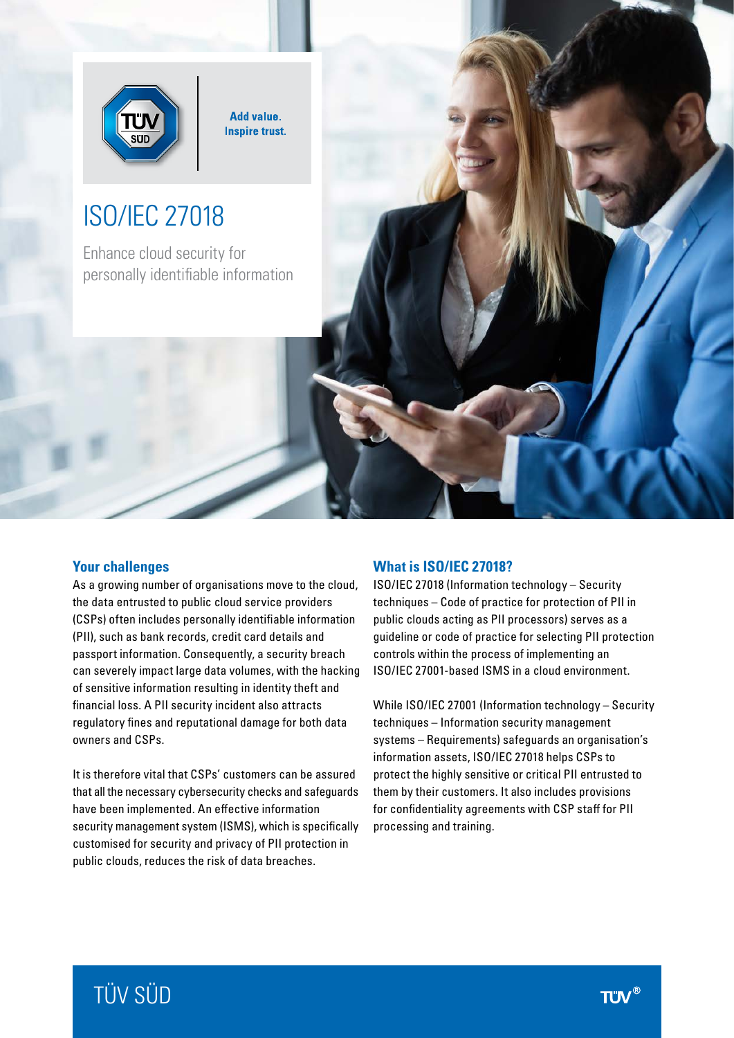

**Add value. Inspire trust.** 

# ISO/IEC 27018

Enhance cloud security for personally identifiable information

## **Your challenges**

As a growing number of organisations move to the cloud, the data entrusted to public cloud service providers (CSPs) often includes personally identifiable information (PII), such as bank records, credit card details and passport information. Consequently, a security breach can severely impact large data volumes, with the hacking of sensitive information resulting in identity theft and financial loss. A PII security incident also attracts regulatory fines and reputational damage for both data owners and CSPs.

It is therefore vital that CSPs' customers can be assured that all the necessary cybersecurity checks and safeguards have been implemented. An effective information security management system (ISMS), which is specifically customised for security and privacy of PII protection in public clouds, reduces the risk of data breaches.

### **What is ISO/IEC 27018?**

ISO/IEC 27018 (Information technology – Security techniques – Code of practice for protection of PII in public clouds acting as PII processors) serves as a guideline or code of practice for selecting PII protection controls within the process of implementing an ISO/IEC 27001-based ISMS in a cloud environment.

While ISO/IEC 27001 (Information technology – Security techniques – Information security management systems – Requirements) safeguards an organisation's information assets, ISO/IEC 27018 helps CSPs to protect the highly sensitive or critical PII entrusted to them by their customers. It also includes provisions for confidentiality agreements with CSP staff for PII processing and training.